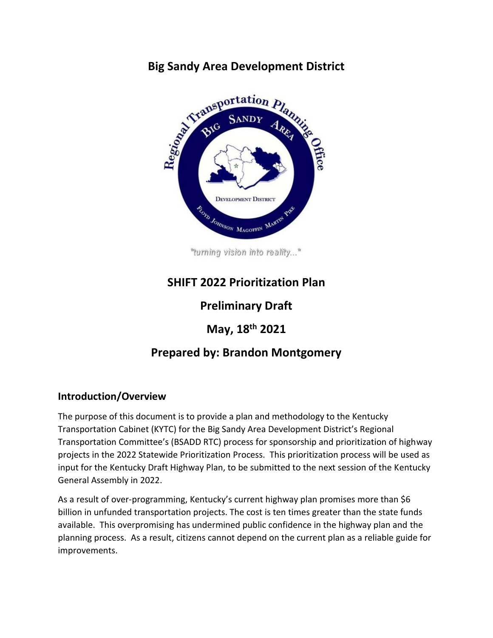# **Big Sandy Area Development District**<br> **Big Sandy Area SANDY**<br> **Big Sandy Area SANDY**<br> **Area Area Area DEVELOPMENT DISTRICT** ROID JOHNSON MAGOFFIN MARTIN

"turning vision into reality..."

# **SHIFT 2022 Prioritization Plan**

## **Preliminary Draft**

## **May, 18th 2021**

## **Prepared by: Brandon Montgomery**

### **Introduction/Overview**

The purpose of this document is to provide a plan and methodology to the Kentucky Transportation Cabinet (KYTC) for the Big Sandy Area Development District's Regional Transportation Committee's (BSADD RTC) process for sponsorship and prioritization of highway projects in the 2022 Statewide Prioritization Process. This prioritization process will be used as input for the Kentucky Draft Highway Plan, to be submitted to the next session of the Kentucky General Assembly in 2022.

As a result of over-programming, Kentucky's current highway plan promises more than \$6 billion in unfunded transportation projects. The cost is ten times greater than the state funds available. This overpromising has undermined public confidence in the highway plan and the planning process. As a result, citizens cannot depend on the current plan as a reliable guide for improvements.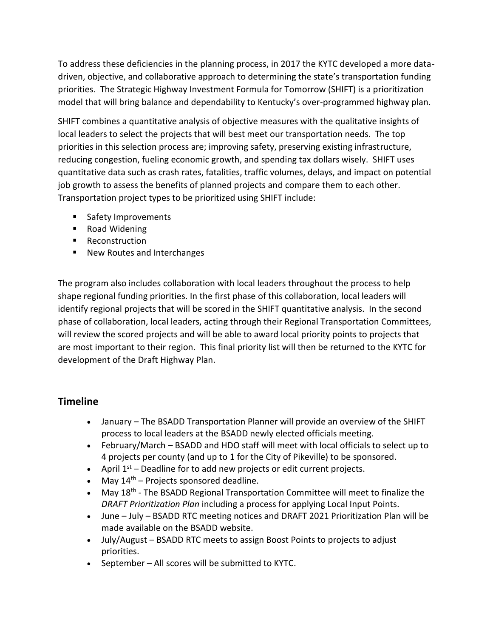To address these deficiencies in the planning process, in 2017 the KYTC developed a more datadriven, objective, and collaborative approach to determining the state's transportation funding priorities. The Strategic Highway Investment Formula for Tomorrow (SHIFT) is a prioritization model that will bring balance and dependability to Kentucky's over-programmed highway plan.

SHIFT combines a quantitative analysis of objective measures with the qualitative insights of local leaders to select the projects that will best meet our transportation needs. The top priorities in this selection process are; improving safety, preserving existing infrastructure, reducing congestion, fueling economic growth, and spending tax dollars wisely. SHIFT uses quantitative data such as crash rates, fatalities, traffic volumes, delays, and impact on potential job growth to assess the benefits of planned projects and compare them to each other. Transportation project types to be prioritized using SHIFT include:

- **Safety Improvements**
- Road Widening
- **Reconstruction**
- New Routes and Interchanges

The program also includes collaboration with local leaders throughout the process to help shape regional funding priorities. In the first phase of this collaboration, local leaders will identify regional projects that will be scored in the SHIFT quantitative analysis. In the second phase of collaboration, local leaders, acting through their Regional Transportation Committees, will review the scored projects and will be able to award local priority points to projects that are most important to their region. This final priority list will then be returned to the KYTC for development of the Draft Highway Plan.

### **Timeline**

- January The BSADD Transportation Planner will provide an overview of the SHIFT process to local leaders at the BSADD newly elected officials meeting.
- February/March BSADD and HDO staff will meet with local officials to select up to 4 projects per county (and up to 1 for the City of Pikeville) to be sponsored.
- April  $1^{st}$  Deadline for to add new projects or edit current projects.
- May  $14<sup>th</sup>$  Projects sponsored deadline.
- May 18<sup>th</sup> The BSADD Regional Transportation Committee will meet to finalize the *DRAFT Prioritization Plan* including a process for applying Local Input Points.
- June July BSADD RTC meeting notices and DRAFT 2021 Prioritization Plan will be made available on the BSADD website.
- July/August BSADD RTC meets to assign Boost Points to projects to adjust priorities.
- September All scores will be submitted to KYTC.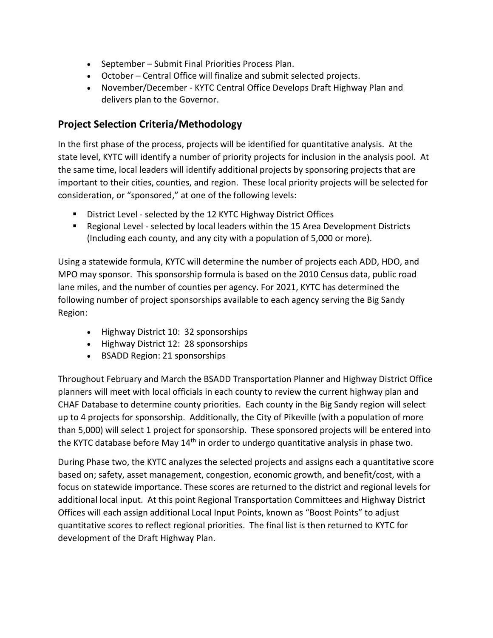- September Submit Final Priorities Process Plan.
- October Central Office will finalize and submit selected projects.
- November/December KYTC Central Office Develops Draft Highway Plan and delivers plan to the Governor.

#### **Project Selection Criteria/Methodology**

In the first phase of the process, projects will be identified for quantitative analysis. At the state level, KYTC will identify a number of priority projects for inclusion in the analysis pool. At the same time, local leaders will identify additional projects by sponsoring projects that are important to their cities, counties, and region. These local priority projects will be selected for consideration, or "sponsored," at one of the following levels:

- **District Level selected by the 12 KYTC Highway District Offices**
- Regional Level selected by local leaders within the 15 Area Development Districts (Including each county, and any city with a population of 5,000 or more).

Using a statewide formula, KYTC will determine the number of projects each ADD, HDO, and MPO may sponsor. This sponsorship formula is based on the 2010 Census data, public road lane miles, and the number of counties per agency. For 2021, KYTC has determined the following number of project sponsorships available to each agency serving the Big Sandy Region:

- Highway District 10: 32 sponsorships
- Highway District 12: 28 sponsorships
- BSADD Region: 21 sponsorships

Throughout February and March the BSADD Transportation Planner and Highway District Office planners will meet with local officials in each county to review the current highway plan and CHAF Database to determine county priorities. Each county in the Big Sandy region will select up to 4 projects for sponsorship. Additionally, the City of Pikeville (with a population of more than 5,000) will select 1 project for sponsorship. These sponsored projects will be entered into the KYTC database before May  $14<sup>th</sup>$  in order to undergo quantitative analysis in phase two.

During Phase two, the KYTC analyzes the selected projects and assigns each a quantitative score based on; safety, asset management, congestion, economic growth, and benefit/cost, with a focus on statewide importance. These scores are returned to the district and regional levels for additional local input. At this point Regional Transportation Committees and Highway District Offices will each assign additional Local Input Points, known as "Boost Points" to adjust quantitative scores to reflect regional priorities. The final list is then returned to KYTC for development of the Draft Highway Plan.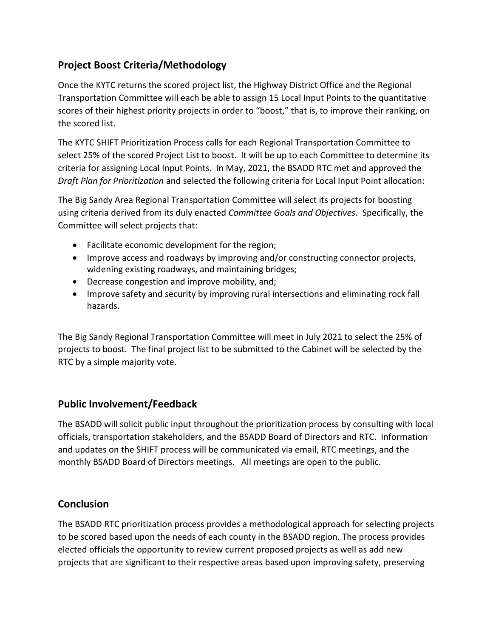## **Project Boost Criteria/Methodology**

Once the KYTC returns the scored project list, the Highway District Office and the Regional Transportation Committee will each be able to assign 15 Local Input Points to the quantitative scores of their highest priority projects in order to "boost," that is, to improve their ranking, on the scored list.

The KYTC SHIFT Prioritization Process calls for each Regional Transportation Committee to select 25% of the scored Project List to boost. It will be up to each Committee to determine its criteria for assigning Local Input Points. In May, 2021, the BSADD RTC met and approved the *Draft Plan for Prioritization* and selected the following criteria for Local Input Point allocation:

The Big Sandy Area Regional Transportation Committee will select its projects for boosting using criteria derived from its duly enacted *Committee Goals and Objectives*. Specifically, the Committee will select projects that:

- Facilitate economic development for the region;
- Improve access and roadways by improving and/or constructing connector projects, widening existing roadways, and maintaining bridges;
- Decrease congestion and improve mobility, and;
- Improve safety and security by improving rural intersections and eliminating rock fall hazards.

The Big Sandy Regional Transportation Committee will meet in July 2021 to select the 25% of projects to boost. The final project list to be submitted to the Cabinet will be selected by the RTC by a simple majority vote.

#### **Public Involvement/Feedback**

The BSADD will solicit public input throughout the prioritization process by consulting with local officials, transportation stakeholders, and the BSADD Board of Directors and RTC. Information and updates on the SHIFT process will be communicated via email, RTC meetings, and the monthly BSADD Board of Directors meetings. All meetings are open to the public.

### **Conclusion**

The BSADD RTC prioritization process provides a methodological approach for selecting projects to be scored based upon the needs of each county in the BSADD region. The process provides elected officials the opportunity to review current proposed projects as well as add new projects that are significant to their respective areas based upon improving safety, preserving